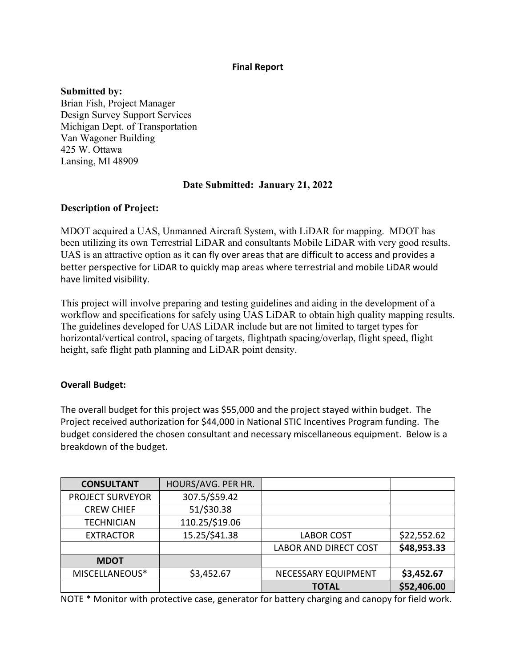#### **Final Report**

#### **Submitted by:**

Brian Fish, Project Manager Design Survey Support Services Michigan Dept. of Transportation Van Wagoner Building 425 W. Ottawa Lansing, MI 48909

## **Date Submitted: January 21, 2022**

## **Description of Project:**

MDOT acquired a UAS, Unmanned Aircraft System, with LiDAR for mapping. MDOT has been utilizing its own Terrestrial LiDAR and consultants Mobile LiDAR with very good results. UAS is an attractive option as it can fly over areas that are difficult to access and provides a better perspective for LiDAR to quickly map areas where terrestrial and mobile LiDAR would have limited visibility.

This project will involve preparing and testing guidelines and aiding in the development of a workflow and specifications for safely using UAS LiDAR to obtain high quality mapping results. The guidelines developed for UAS LiDAR include but are not limited to target types for horizontal/vertical control, spacing of targets, flightpath spacing/overlap, flight speed, flight height, safe flight path planning and LiDAR point density.

#### **Overall Budget:**

The overall budget for this project was \$55,000 and the project stayed within budget. The Project received authorization for \$44,000 in National STIC Incentives Program funding. The budget considered the chosen consultant and necessary miscellaneous equipment. Below is a breakdown of the budget.

| <b>CONSULTANT</b>       | HOURS/AVG. PER HR. |                       |             |
|-------------------------|--------------------|-----------------------|-------------|
| <b>PROJECT SURVEYOR</b> | 307.5/\$59.42      |                       |             |
| <b>CREW CHIEF</b>       | 51/\$30.38         |                       |             |
| <b>TECHNICIAN</b>       | 110.25/\$19.06     |                       |             |
| <b>EXTRACTOR</b>        | 15.25/\$41.38      | <b>LABOR COST</b>     | \$22,552.62 |
|                         |                    | LABOR AND DIRECT COST | \$48,953.33 |
| <b>MDOT</b>             |                    |                       |             |
| MISCELLANEOUS*          | \$3,452.67         | NECESSARY EQUIPMENT   | \$3,452.67  |
|                         |                    | <b>TOTAL</b>          | \$52,406.00 |

NOTE \* Monitor with protective case, generator for battery charging and canopy for field work.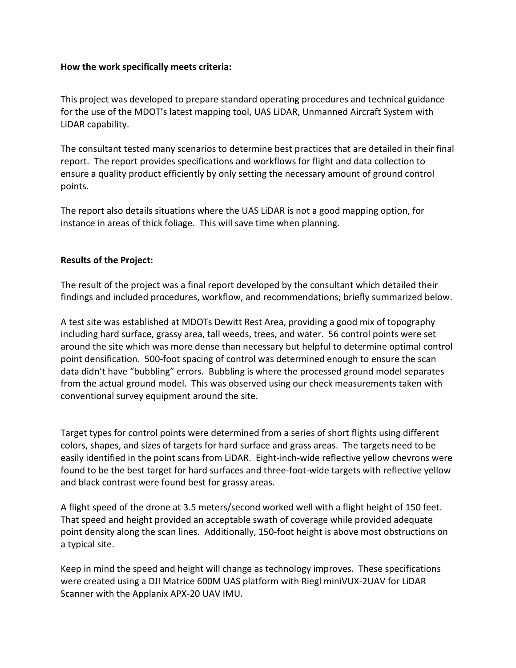#### **How the work specifically meets criteria:**

This project was developed to prepare standard operating procedures and technical guidance for the use of the MDOT's latest mapping tool, UAS LiDAR, Unmanned Aircraft System with LiDAR capability.

The consultant tested many scenarios to determine best practices that are detailed in their final report. The report provides specifications and workflows for flight and data collection to ensure a quality product efficiently by only setting the necessary amount of ground control points.

The report also details situations where the UAS LiDAR is not a good mapping option, for instance in areas of thick foliage. This will save time when planning.

# **Results of the Project:**

The result of the project was a final report developed by the consultant which detailed their findings and included procedures, workflow, and recommendations; briefly summarized below.

A test site was established at MDOTs Dewitt Rest Area, providing a good mix of topography including hard surface, grassy area, tall weeds, trees, and water. 56 control points were set around the site which was more dense than necessary but helpful to determine optimal control point densification. 500-foot spacing of control was determined enough to ensure the scan data didn't have "bubbling" errors. Bubbling is where the processed ground model separates from the actual ground model. This was observed using our check measurements taken with conventional survey equipment around the site.

Target types for control points were determined from a series of short flights using different colors, shapes, and sizes of targets for hard surface and grass areas. The targets need to be easily identified in the point scans from LiDAR. Eight-inch-wide reflective yellow chevrons were found to be the best target for hard surfaces and three-foot-wide targets with reflective yellow and black contrast were found best for grassy areas.

A flight speed of the drone at 3.5 meters/second worked well with a flight height of 150 feet. That speed and height provided an acceptable swath of coverage while provided adequate point density along the scan lines. Additionally, 150-foot height is above most obstructions on a typical site.

Keep in mind the speed and height will change as technology improves. These specifications were created using a DJI Matrice 600M UAS platform with Riegl miniVUX-2UAV for LiDAR Scanner with the Applanix APX-20 UAV IMU.